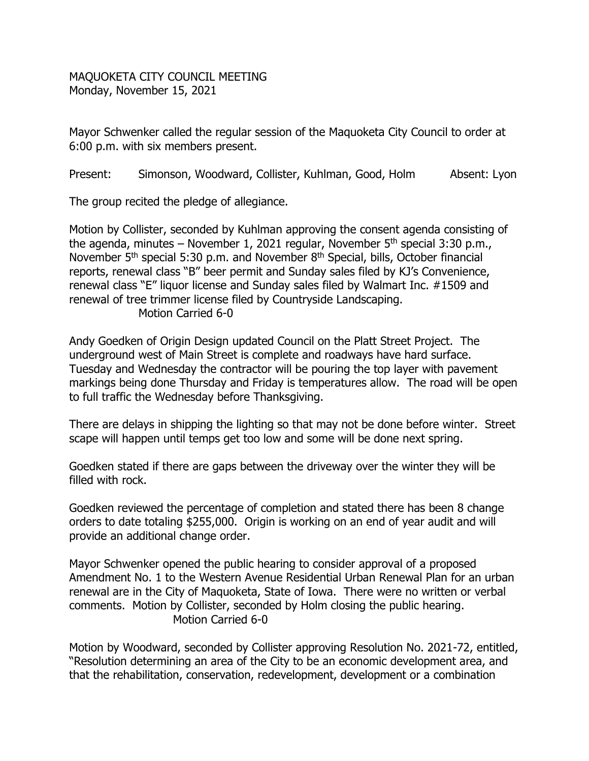MAQUOKETA CITY COUNCIL MEETING Monday, November 15, 2021

Mayor Schwenker called the regular session of the Maquoketa City Council to order at 6:00 p.m. with six members present.

Present: Simonson, Woodward, Collister, Kuhlman, Good, Holm Absent: Lyon

The group recited the pledge of allegiance.

Motion by Collister, seconded by Kuhlman approving the consent agenda consisting of the agenda, minutes – November 1, 2021 regular, November  $5<sup>th</sup>$  special 3:30 p.m., November 5<sup>th</sup> special 5:30 p.m. and November 8<sup>th</sup> Special, bills, October financial reports, renewal class "B" beer permit and Sunday sales filed by KJ's Convenience, renewal class "E" liquor license and Sunday sales filed by Walmart Inc. #1509 and renewal of tree trimmer license filed by Countryside Landscaping. Motion Carried 6-0

Andy Goedken of Origin Design updated Council on the Platt Street Project. The underground west of Main Street is complete and roadways have hard surface. Tuesday and Wednesday the contractor will be pouring the top layer with pavement markings being done Thursday and Friday is temperatures allow. The road will be open to full traffic the Wednesday before Thanksgiving.

There are delays in shipping the lighting so that may not be done before winter. Street scape will happen until temps get too low and some will be done next spring.

Goedken stated if there are gaps between the driveway over the winter they will be filled with rock.

Goedken reviewed the percentage of completion and stated there has been 8 change orders to date totaling \$255,000. Origin is working on an end of year audit and will provide an additional change order.

Mayor Schwenker opened the public hearing to consider approval of a proposed Amendment No. 1 to the Western Avenue Residential Urban Renewal Plan for an urban renewal are in the City of Maquoketa, State of Iowa. There were no written or verbal comments. Motion by Collister, seconded by Holm closing the public hearing. Motion Carried 6-0

Motion by Woodward, seconded by Collister approving Resolution No. 2021-72, entitled, "Resolution determining an area of the City to be an economic development area, and that the rehabilitation, conservation, redevelopment, development or a combination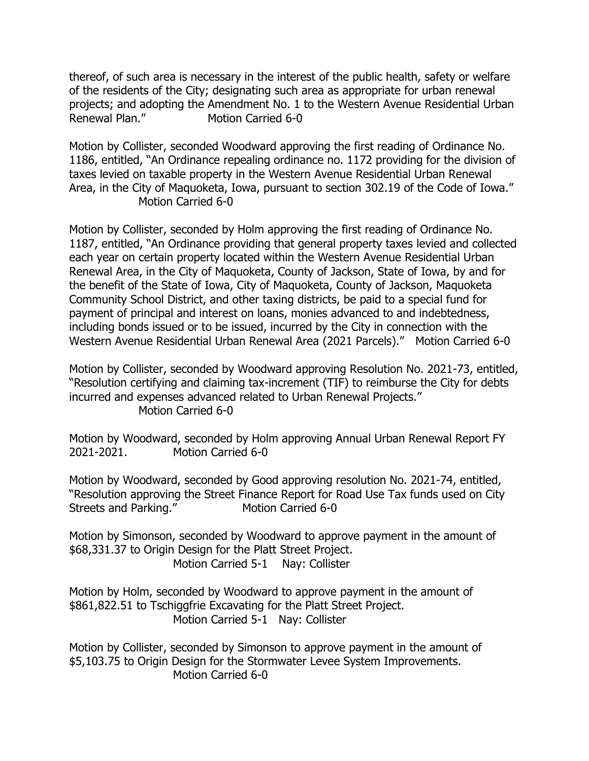thereof, of such area is necessary in the interest of the public health, safety or welfare of the residents of the City; designating such area as appropriate for urban renewal projects; and adopting the Amendment No. 1 to the Western Avenue Residential Urban Renewal Plan." Motion Carried 6-0

Motion by Collister, seconded Woodward approving the first reading of Ordinance No. 1186, entitled, "An Ordinance repealing ordinance no. 1172 providing for the division of taxes levied on taxable property in the Western Avenue Residential Urban Renewal Area, in the City of Maquoketa, Iowa, pursuant to section 302.19 of the Code of Iowa." Motion Carried 6-0

Motion by Collister, seconded by Holm approving the first reading of Ordinance No. 1187, entitled, "An Ordinance providing that general property taxes levied and collected each year on certain property located within the Western Avenue Residential Urban Renewal Area, in the City of Maquoketa, County of Jackson, State of Iowa, by and for the benefit of the State of Iowa, City of Maquoketa, County of Jackson, Maquoketa Community School District, and other taxing districts, be paid to a special fund for payment of principal and interest on loans, monies advanced to and indebtedness, including bonds issued or to be issued, incurred by the City in connection with the Western Avenue Residential Urban Renewal Area (2021 Parcels)." Motion Carried 6-0

Motion by Collister, seconded by Woodward approving Resolution No. 2021-73, entitled, "Resolution certifying and claiming tax-increment (TIF) to reimburse the City for debts incurred and expenses advanced related to Urban Renewal Projects." Motion Carried 6-0

Motion by Woodward, seconded by Holm approving Annual Urban Renewal Report FY 2021-2021. Motion Carried 6-0

Motion by Woodward, seconded by Good approving resolution No. 2021-74, entitled, "Resolution approving the Street Finance Report for Road Use Tax funds used on City Streets and Parking." Motion Carried 6-0

Motion by Simonson, seconded by Woodward to approve payment in the amount of \$68,331.37 to Origin Design for the Platt Street Project. Motion Carried 5-1 Nay: Collister

Motion by Holm, seconded by Woodward to approve payment in the amount of \$861,822.51 to Tschiggfrie Excavating for the Platt Street Project. Motion Carried 5-1 Nay: Collister

Motion by Collister, seconded by Simonson to approve payment in the amount of \$5,103.75 to Origin Design for the Stormwater Levee System Improvements. Motion Carried 6-0